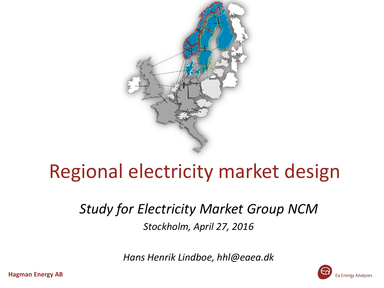

### Regional electricity market design

*Study for Electricity Market Group NCM Stockholm, April 27, 2016*

*Hans Henrik Lindboe, hhl@eaea.dk*

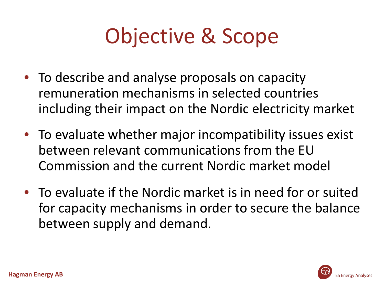# Objective & Scope

- To describe and analyse proposals on capacity remuneration mechanisms in selected countries including their impact on the Nordic electricity market
- To evaluate whether major incompatibility issues exist between relevant communications from the EU Commission and the current Nordic market model
- To evaluate if the Nordic market is in need for or suited for capacity mechanisms in order to secure the balance between supply and demand.

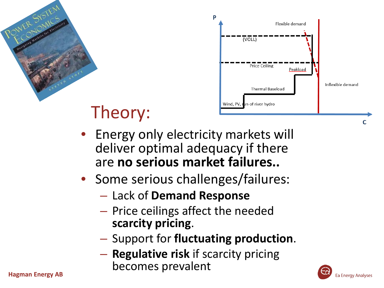



- Theory:
- Energy only electricity markets will deliver optimal adequacy if there are **no serious market failures..**
- Some serious challenges/failures:
	- Lack of **Demand Response**
	- Price ceilings affect the needed **scarcity pricing**.
	- Support for **fluctuating production**.
- **Regulative risk** if scarcity pricing becomes prevalent **Hagman Energy AB**

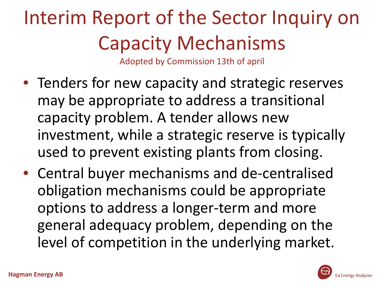# Interim Report of the Sector Inquiry on Capacity Mechanisms

Adopted by Commission 13th of april

- Tenders for new capacity and strategic reserves may be appropriate to address a transitional capacity problem. A tender allows new investment, while a strategic reserve is typically used to prevent existing plants from closing.
- Central buyer mechanisms and de-centralised obligation mechanisms could be appropriate options to address a longer-term and more general adequacy problem, depending on the level of competition in the underlying market.

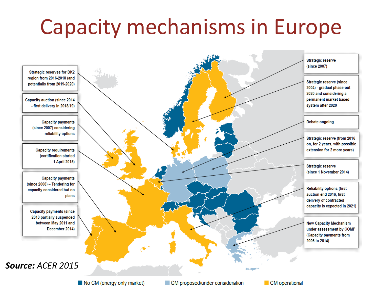# Capacity mechanisms in Europe



No CM (energy only market)

CM operational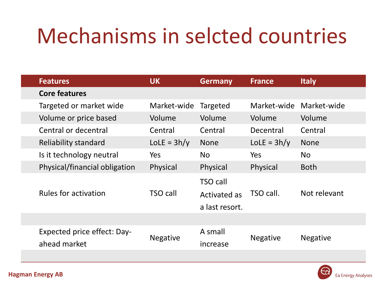### Mechanisms in selcted countries

|  | <b>Features</b>                             | <b>UK</b>       | <b>Germany</b>                                    | <b>France</b>   | <b>Italy</b>    |
|--|---------------------------------------------|-----------------|---------------------------------------------------|-----------------|-----------------|
|  | <b>Core features</b>                        |                 |                                                   |                 |                 |
|  | Targeted or market wide                     | Market-wide     | Targeted                                          | Market-wide     | Market-wide     |
|  | Volume or price based                       | Volume          | Volume                                            | Volume          | Volume          |
|  | Central or decentral                        | Central         | Central                                           | Decentral       | Central         |
|  | Reliability standard                        | $LolE = 3h/y$   | <b>None</b>                                       | $LolE = 3h/y$   | <b>None</b>     |
|  | Is it technology neutral                    | Yes             | No.                                               | <b>Yes</b>      | No.             |
|  | Physical/financial obligation               | Physical        | Physical                                          | Physical        | <b>Both</b>     |
|  | <b>Rules for activation</b>                 | TSO call        | <b>TSO call</b><br>Activated as<br>a last resort. | TSO call.       | Not relevant    |
|  |                                             |                 |                                                   |                 |                 |
|  | Expected price effect: Day-<br>ahead market | <b>Negative</b> | A small<br>increase                               | <b>Negative</b> | <b>Negative</b> |
|  |                                             |                 |                                                   |                 |                 |

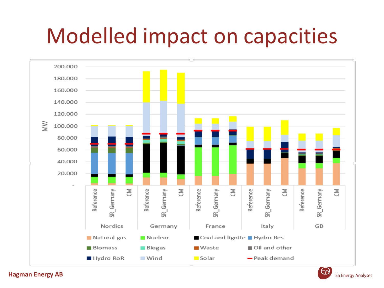### Modelled impact on capacities



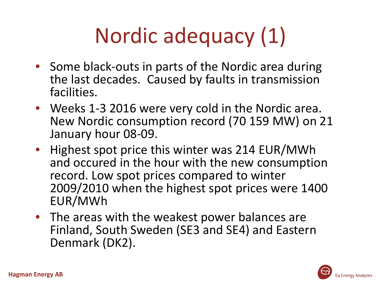# Nordic adequacy (1)

- Some black-outs in parts of the Nordic area during the last decades. Caused by faults in transmission facilities.
- Weeks 1-3 2016 were very cold in the Nordic area. New Nordic consumption record (70 159 MW) on 21 January hour 08-09.
- Highest spot price this winter was 214 EUR/MWh and occured in the hour with the new consumption record. Low spot prices compared to winter 2009/2010 when the highest spot prices were 1400 EUR/MWh
- The areas with the weakest power balances are Finland, South Sweden (SE3 and SE4) and Eastern Denmark (DK2).

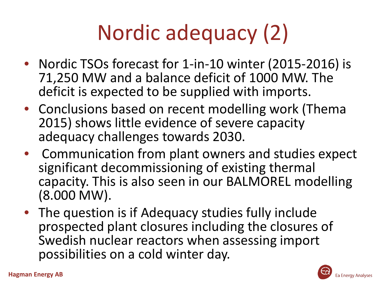# Nordic adequacy (2)

- Nordic TSOs forecast for 1-in-10 winter (2015-2016) is 71,250 MW and a balance deficit of 1000 MW. The deficit is expected to be supplied with imports.
- Conclusions based on recent modelling work (Thema 2015) shows little evidence of severe capacity adequacy challenges towards 2030.
- Communication from plant owners and studies expect significant decommissioning of existing thermal capacity. This is also seen in our BALMOREL modelling (8.000 MW).
- The question is if Adequacy studies fully include prospected plant closures including the closures of Swedish nuclear reactors when assessing import possibilities on a cold winter day.

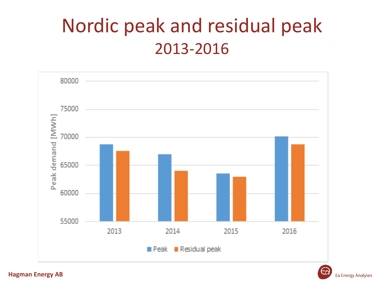### Nordic peak and residual peak 2013-2016



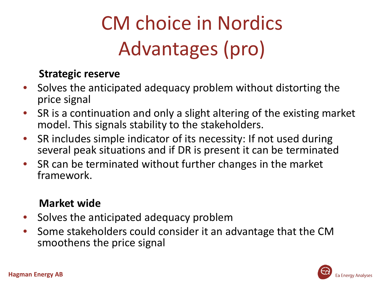# CM choice in Nordics Advantages (pro)

### **Strategic reserve**

- Solves the anticipated adequacy problem without distorting the price signal
- SR is a continuation and only a slight altering of the existing market model. This signals stability to the stakeholders.
- SR includes simple indicator of its necessity: If not used during several peak situations and if DR is present it can be terminated
- SR can be terminated without further changes in the market framework.

### **Market wide**

- Solves the anticipated adequacy problem
- Some stakeholders could consider it an advantage that the CM smoothens the price signal

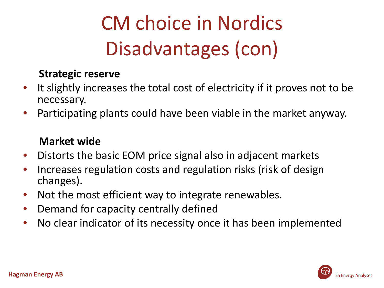## CM choice in Nordics Disadvantages (con)

### **Strategic reserve**

- It slightly increases the total cost of electricity if it proves not to be necessary.
- Participating plants could have been viable in the market anyway.

### **Market wide**

- Distorts the basic EOM price signal also in adjacent markets
- Increases regulation costs and regulation risks (risk of design changes).
- Not the most efficient way to integrate renewables.
- Demand for capacity centrally defined
- No clear indicator of its necessity once it has been implemented

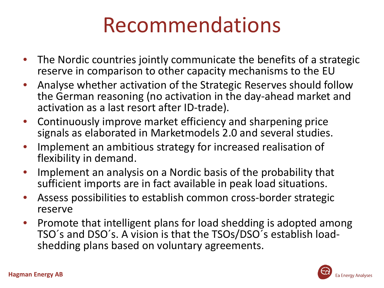### Recommendations

- The Nordic countries jointly communicate the benefits of a strategic reserve in comparison to other capacity mechanisms to the EU
- Analyse whether activation of the Strategic Reserves should follow the German reasoning (no activation in the day-ahead market and activation as a last resort after ID-trade).
- Continuously improve market efficiency and sharpening price signals as elaborated in Marketmodels 2.0 and several studies.
- Implement an ambitious strategy for increased realisation of flexibility in demand.
- Implement an analysis on a Nordic basis of the probability that sufficient imports are in fact available in peak load situations.
- Assess possibilities to establish common cross-border strategic reserve
- Promote that intelligent plans for load shedding is adopted among TSO´s and DSO´s. A vision is that the TSOs/DSO´s establish load- shedding plans based on voluntary agreements.